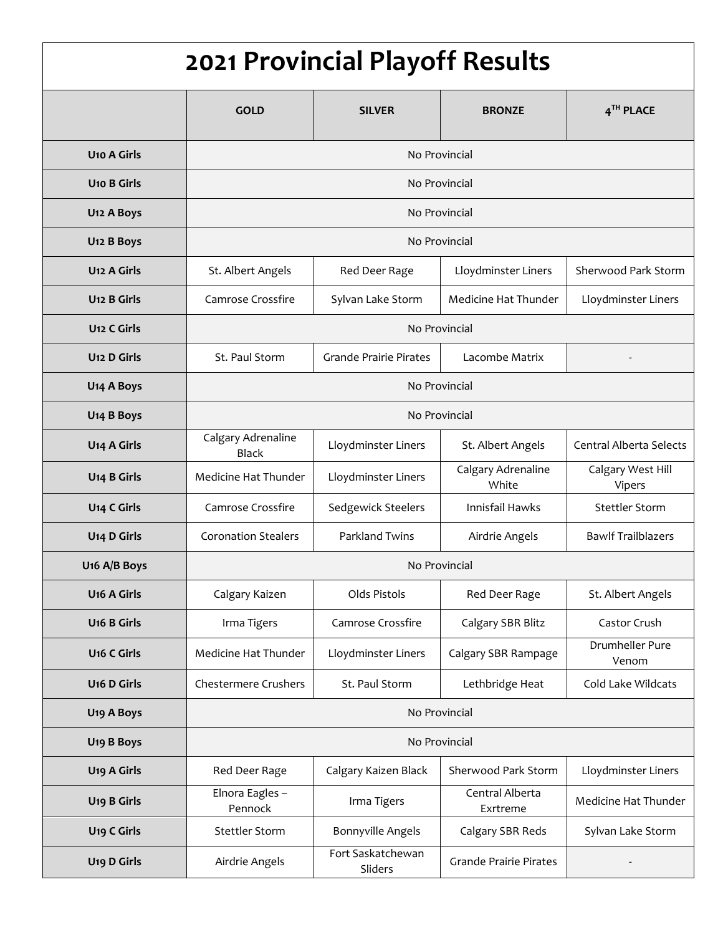| 2021 Provincial Playoff Results |                                    |                               |                             |                                |  |  |
|---------------------------------|------------------------------------|-------------------------------|-----------------------------|--------------------------------|--|--|
|                                 | <b>GOLD</b>                        | <b>SILVER</b>                 | <b>BRONZE</b>               | 4TH PLACE                      |  |  |
| <b>U<sub>10</sub></b> A Girls   | No Provincial                      |                               |                             |                                |  |  |
| <b>U10 B Girls</b>              | No Provincial                      |                               |                             |                                |  |  |
| U <sub>12</sub> A Boys          | No Provincial                      |                               |                             |                                |  |  |
| U <sub>12</sub> B Boys          | No Provincial                      |                               |                             |                                |  |  |
| U <sub>12</sub> A Girls         | St. Albert Angels                  | Red Deer Rage                 | Lloydminster Liners         | Sherwood Park Storm            |  |  |
| U <sub>12</sub> B Girls         | Camrose Crossfire                  | Sylvan Lake Storm             | Medicine Hat Thunder        | Lloydminster Liners            |  |  |
| U <sub>12</sub> C Girls         | No Provincial                      |                               |                             |                                |  |  |
| U <sub>12</sub> D Girls         | St. Paul Storm                     | <b>Grande Prairie Pirates</b> | Lacombe Matrix              |                                |  |  |
| U <sub>14</sub> A Boys          | No Provincial                      |                               |                             |                                |  |  |
| U <sub>14</sub> B Boys          | No Provincial                      |                               |                             |                                |  |  |
| U <sub>14</sub> A Girls         | Calgary Adrenaline<br><b>Black</b> | Lloydminster Liners           | St. Albert Angels           | <b>Central Alberta Selects</b> |  |  |
| U <sub>14</sub> B Girls         | Medicine Hat Thunder               | Lloydminster Liners           | Calgary Adrenaline<br>White | Calgary West Hill<br>Vipers    |  |  |
| U <sub>14</sub> C Girls         | Camrose Crossfire                  | Sedgewick Steelers            | Innisfail Hawks             | Stettler Storm                 |  |  |
| U <sub>14</sub> D Girls         | <b>Coronation Stealers</b>         | Parkland Twins                | Airdrie Angels              | <b>Bawlf Trailblazers</b>      |  |  |
| U <sub>16</sub> A/B Boys        | No Provincial                      |                               |                             |                                |  |  |
| U <sub>16</sub> A Girls         | Calgary Kaizen                     | Olds Pistols                  | Red Deer Rage               | St. Albert Angels              |  |  |
| <b>U<sub>16</sub></b> B Girls   | Irma Tigers                        | Camrose Crossfire             | Calgary SBR Blitz           | Castor Crush                   |  |  |
| <b>U<sub>16</sub></b> C Girls   | Medicine Hat Thunder               | Lloydminster Liners           | Calgary SBR Rampage         | Drumheller Pure<br>Venom       |  |  |
| U <sub>16</sub> D Girls         | Chestermere Crushers               | St. Paul Storm                | Lethbridge Heat             | Cold Lake Wildcats             |  |  |
| U <sub>19</sub> A Boys          | No Provincial                      |                               |                             |                                |  |  |
| U <sub>19</sub> B Boys          | No Provincial                      |                               |                             |                                |  |  |
| U <sub>19</sub> A Girls         | Red Deer Rage                      | Calgary Kaizen Black          | Sherwood Park Storm         | Lloydminster Liners            |  |  |
| U <sub>19</sub> B Girls         | Elnora Eagles -<br>Pennock         | Irma Tigers                   | Central Alberta<br>Exrtreme | Medicine Hat Thunder           |  |  |
| U <sub>19</sub> C Girls         | <b>Stettler Storm</b>              | <b>Bonnyville Angels</b>      | Calgary SBR Reds            | Sylvan Lake Storm              |  |  |
| U <sub>19</sub> D Girls         | Airdrie Angels                     | Fort Saskatchewan<br>Sliders  | Grande Prairie Pirates      |                                |  |  |